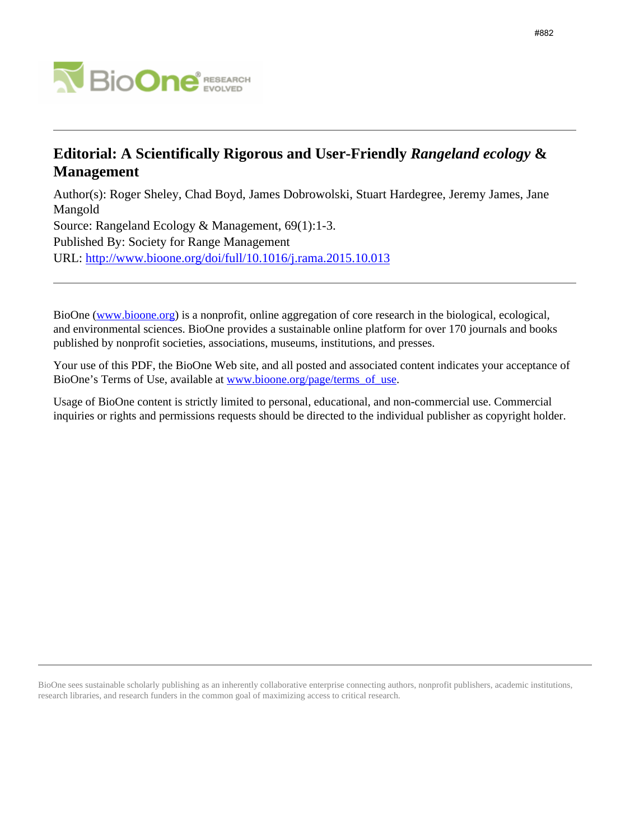

# **Editorial: A Scientifically Rigorous and User-Friendly** *Rangeland ecology* **& Management**

Author(s): Roger Sheley, Chad Boyd, James Dobrowolski, Stuart Hardegree, Jeremy James, Jane Mangold Source: Rangeland Ecology & Management, 69(1):1-3. Published By: Society for Range Management URL: <http://www.bioone.org/doi/full/10.1016/j.rama.2015.10.013>

BioOne [\(www.bioone.org\)](http://www.bioone.org) is a nonprofit, online aggregation of core research in the biological, ecological, and environmental sciences. BioOne provides a sustainable online platform for over 170 journals and books published by nonprofit societies, associations, museums, institutions, and presses.

Your use of this PDF, the BioOne Web site, and all posted and associated content indicates your acceptance of BioOne's Terms of Use, available at [www.bioone.org/page/terms\\_of\\_use.](http://www.bioone.org/page/terms_of_use)

Usage of BioOne content is strictly limited to personal, educational, and non-commercial use. Commercial inquiries or rights and permissions requests should be directed to the individual publisher as copyright holder.

BioOne sees sustainable scholarly publishing as an inherently collaborative enterprise connecting authors, nonprofit publishers, academic institutions, research libraries, and research funders in the common goal of maximizing access to critical research.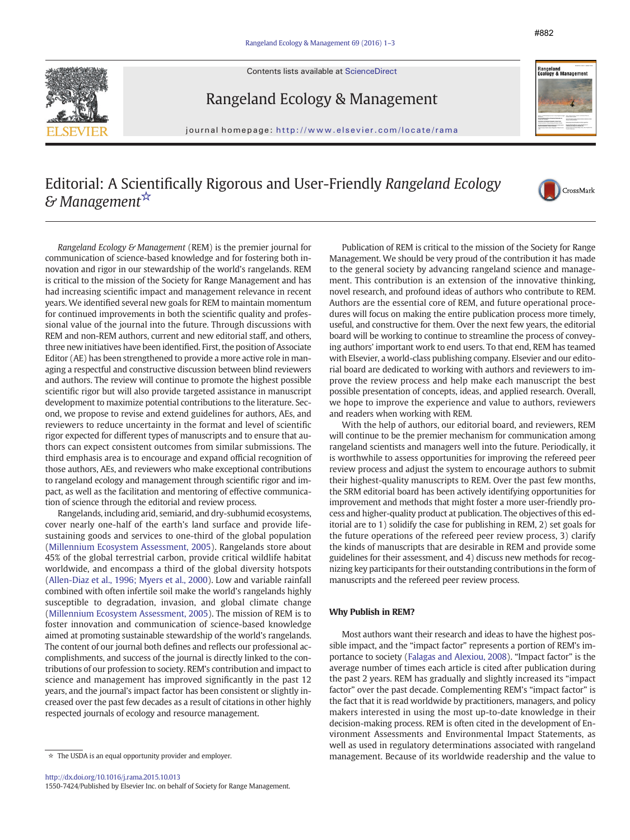

Rangeland Ecology & Management

journal homepage: http://www.elsevier.com/locate/rama



## Editorial: A Scientifically Rigorous and User-Friendly Rangeland Ecology & Management☆



Rangeland Ecology & Management (REM) is the premier journal for communication of science-based knowledge and for fostering both innovation and rigor in our stewardship of the world's rangelands. REM is critical to the mission of the Society for Range Management and has had increasing scientific impact and management relevance in recent years. We identified several new goals for REM to maintain momentum for continued improvements in both the scientific quality and professional value of the journal into the future. Through discussions with REM and non-REM authors, current and new editorial staff, and others, three new initiatives have been identified. First, the position of Associate Editor (AE) has been strengthened to provide a more active role in managing a respectful and constructive discussion between blind reviewers and authors. The review will continue to promote the highest possible scientific rigor but will also provide targeted assistance in manuscript development to maximize potential contributions to the literature. Second, we propose to revise and extend guidelines for authors, AEs, and reviewers to reduce uncertainty in the format and level of scientific rigor expected for different types of manuscripts and to ensure that authors can expect consistent outcomes from similar submissions. The third emphasis area is to encourage and expand official recognition of those authors, AEs, and reviewers who make exceptional contributions to rangeland ecology and management through scientific rigor and impact, as well as the facilitation and mentoring of effective communication of science through the editorial and review process.

Rangelands, including arid, semiarid, and dry-subhumid ecosystems, cover nearly one-half of the earth's land surface and provide lifesustaining goods and services to one-third of the global population [\(Millennium Ecosystem Assessment, 2005\)](#page-3-0). Rangelands store about 45% of the global terrestrial carbon, provide critical wildlife habitat worldwide, and encompass a third of the global diversity hotspots [\(Allen-Diaz et al., 1996; Myers et al., 2000\)](#page-3-0). Low and variable rainfall combined with often infertile soil make the world's rangelands highly susceptible to degradation, invasion, and global climate change [\(Millennium Ecosystem Assessment, 2005](#page-3-0)). The mission of REM is to foster innovation and communication of science-based knowledge aimed at promoting sustainable stewardship of the world's rangelands. The content of our journal both defines and reflects our professional accomplishments, and success of the journal is directly linked to the contributions of our profession to society. REM's contribution and impact to science and management has improved significantly in the past 12 years, and the journal's impact factor has been consistent or slightly increased over the past few decades as a result of citations in other highly respected journals of ecology and resource management.

Publication of REM is critical to the mission of the Society for Range Management. We should be very proud of the contribution it has made to the general society by advancing rangeland science and management. This contribution is an extension of the innovative thinking, novel research, and profound ideas of authors who contribute to REM. Authors are the essential core of REM, and future operational procedures will focus on making the entire publication process more timely, useful, and constructive for them. Over the next few years, the editorial board will be working to continue to streamline the process of conveying authors' important work to end users. To that end, REM has teamed with Elsevier, a world-class publishing company. Elsevier and our editorial board are dedicated to working with authors and reviewers to improve the review process and help make each manuscript the best possible presentation of concepts, ideas, and applied research. Overall, we hope to improve the experience and value to authors, reviewers and readers when working with REM.

With the help of authors, our editorial board, and reviewers, REM will continue to be the premier mechanism for communication among rangeland scientists and managers well into the future. Periodically, it is worthwhile to assess opportunities for improving the refereed peer review process and adjust the system to encourage authors to submit their highest-quality manuscripts to REM. Over the past few months, the SRM editorial board has been actively identifying opportunities for improvement and methods that might foster a more user-friendly process and higher-quality product at publication. The objectives of this editorial are to 1) solidify the case for publishing in REM, 2) set goals for the future operations of the refereed peer review process, 3) clarify the kinds of manuscripts that are desirable in REM and provide some guidelines for their assessment, and 4) discuss new methods for recognizing key participants for their outstanding contributions in the form of manuscripts and the refereed peer review process.

## Why Publish in REM?

Most authors want their research and ideas to have the highest possible impact, and the "impact factor" represents a portion of REM's importance to society ([Falagas and Alexiou, 2008\)](#page-3-0). "Impact factor" is the average number of times each article is cited after publication during the past 2 years. REM has gradually and slightly increased its "impact factor" over the past decade. Complementing REM's "impact factor" is the fact that it is read worldwide by practitioners, managers, and policy makers interested in using the most up-to-date knowledge in their decision-making process. REM is often cited in the development of Environment Assessments and Environmental Impact Statements, as well as used in regulatory determinations associated with rangeland management. Because of its worldwide readership and the value to

<sup>☆</sup> The USDA is an equal opportunity provider and employer.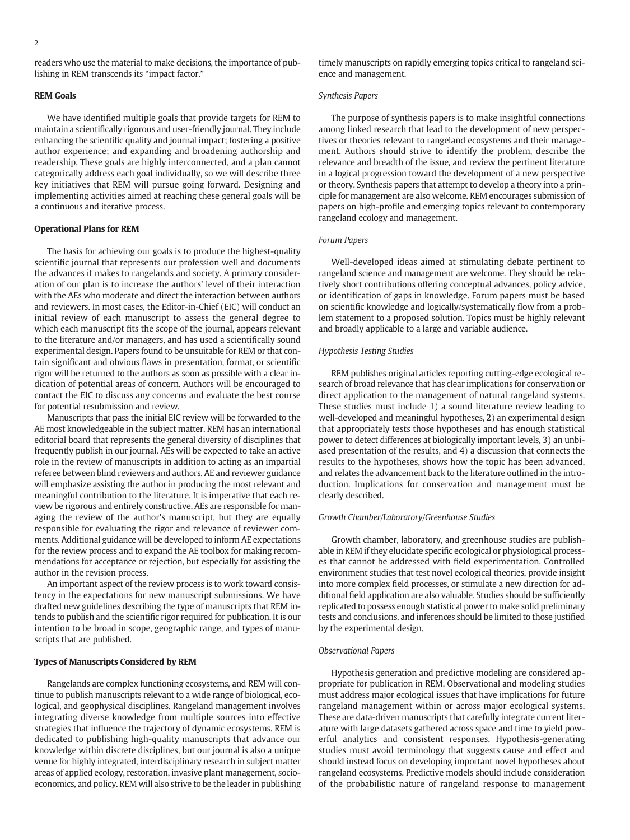readers who use the material to make decisions, the importance of publishing in REM transcends its "impact factor."

### REM Goals

We have identified multiple goals that provide targets for REM to maintain a scientifically rigorous and user-friendly journal. They include enhancing the scientific quality and journal impact; fostering a positive author experience; and expanding and broadening authorship and readership. These goals are highly interconnected, and a plan cannot categorically address each goal individually, so we will describe three key initiatives that REM will pursue going forward. Designing and implementing activities aimed at reaching these general goals will be a continuous and iterative process.

## Operational Plans for REM

The basis for achieving our goals is to produce the highest-quality scientific journal that represents our profession well and documents the advances it makes to rangelands and society. A primary consideration of our plan is to increase the authors' level of their interaction with the AEs who moderate and direct the interaction between authors and reviewers. In most cases, the Editor-in-Chief (EIC) will conduct an initial review of each manuscript to assess the general degree to which each manuscript fits the scope of the journal, appears relevant to the literature and/or managers, and has used a scientifically sound experimental design. Papers found to be unsuitable for REM or that contain significant and obvious flaws in presentation, format, or scientific rigor will be returned to the authors as soon as possible with a clear indication of potential areas of concern. Authors will be encouraged to contact the EIC to discuss any concerns and evaluate the best course for potential resubmission and review.

Manuscripts that pass the initial EIC review will be forwarded to the AE most knowledgeable in the subject matter. REM has an international editorial board that represents the general diversity of disciplines that frequently publish in our journal. AEs will be expected to take an active role in the review of manuscripts in addition to acting as an impartial referee between blind reviewers and authors. AE and reviewer guidance will emphasize assisting the author in producing the most relevant and meaningful contribution to the literature. It is imperative that each review be rigorous and entirely constructive. AEs are responsible for managing the review of the author's manuscript, but they are equally responsible for evaluating the rigor and relevance of reviewer comments. Additional guidance will be developed to inform AE expectations for the review process and to expand the AE toolbox for making recommendations for acceptance or rejection, but especially for assisting the author in the revision process.

An important aspect of the review process is to work toward consistency in the expectations for new manuscript submissions. We have drafted new guidelines describing the type of manuscripts that REM intends to publish and the scientific rigor required for publication. It is our intention to be broad in scope, geographic range, and types of manuscripts that are published.

#### Types of Manuscripts Considered by REM

Rangelands are complex functioning ecosystems, and REM will continue to publish manuscripts relevant to a wide range of biological, ecological, and geophysical disciplines. Rangeland management involves integrating diverse knowledge from multiple sources into effective strategies that influence the trajectory of dynamic ecosystems. REM is dedicated to publishing high-quality manuscripts that advance our knowledge within discrete disciplines, but our journal is also a unique venue for highly integrated, interdisciplinary research in subject matter areas of applied ecology, restoration, invasive plant management, socioeconomics, and policy. REM will also strive to be the leader in publishing timely manuscripts on rapidly emerging topics critical to rangeland science and management.

#### Synthesis Papers

The purpose of synthesis papers is to make insightful connections among linked research that lead to the development of new perspectives or theories relevant to rangeland ecosystems and their management. Authors should strive to identify the problem, describe the relevance and breadth of the issue, and review the pertinent literature in a logical progression toward the development of a new perspective or theory. Synthesis papers that attempt to develop a theory into a principle for management are also welcome. REM encourages submission of papers on high-profile and emerging topics relevant to contemporary rangeland ecology and management.

## Forum Papers

Well-developed ideas aimed at stimulating debate pertinent to rangeland science and management are welcome. They should be relatively short contributions offering conceptual advances, policy advice, or identification of gaps in knowledge. Forum papers must be based on scientific knowledge and logically/systematically flow from a problem statement to a proposed solution. Topics must be highly relevant and broadly applicable to a large and variable audience.

## Hypothesis Testing Studies

REM publishes original articles reporting cutting-edge ecological research of broad relevance that has clear implications for conservation or direct application to the management of natural rangeland systems. These studies must include 1) a sound literature review leading to well-developed and meaningful hypotheses, 2) an experimental design that appropriately tests those hypotheses and has enough statistical power to detect differences at biologically important levels, 3) an unbiased presentation of the results, and 4) a discussion that connects the results to the hypotheses, shows how the topic has been advanced, and relates the advancement back to the literature outlined in the introduction. Implications for conservation and management must be clearly described.

## Growth Chamber/Laboratory/Greenhouse Studies

Growth chamber, laboratory, and greenhouse studies are publishable in REM if they elucidate specific ecological or physiological processes that cannot be addressed with field experimentation. Controlled environment studies that test novel ecological theories, provide insight into more complex field processes, or stimulate a new direction for additional field application are also valuable. Studies should be sufficiently replicated to possess enough statistical power to make solid preliminary tests and conclusions, and inferences should be limited to those justified by the experimental design.

#### Observational Papers

Hypothesis generation and predictive modeling are considered appropriate for publication in REM. Observational and modeling studies must address major ecological issues that have implications for future rangeland management within or across major ecological systems. These are data-driven manuscripts that carefully integrate current literature with large datasets gathered across space and time to yield powerful analytics and consistent responses. Hypothesis-generating studies must avoid terminology that suggests cause and effect and should instead focus on developing important novel hypotheses about rangeland ecosystems. Predictive models should include consideration of the probabilistic nature of rangeland response to management